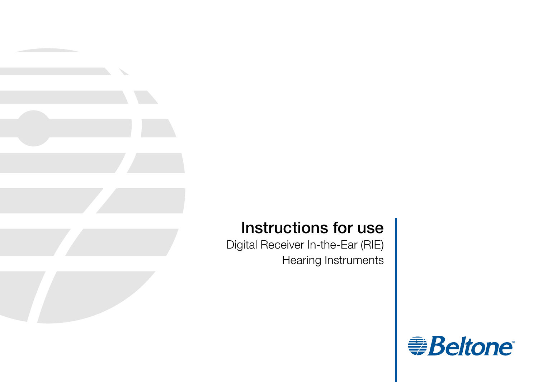

Digital Receiver In-the-Ear (RIE) Hearing Instruments



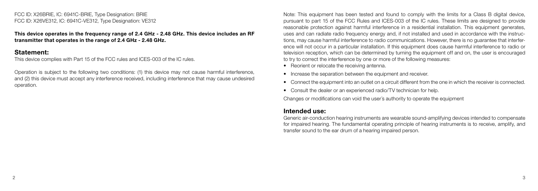FCC ID: X26BRIE, IC: 6941C-BRIE, Type Designation: BRIE FCC ID: X26VE312, IC: 6941C-VE312, Type Designation: VE312

This device operates in the frequency range of 2.4 GHz - 2.48 GHz. This device includes an RF transmitter that operates in the range of 2.4 GHz - 2.48 GHz.

#### Statement:

This device complies with Part 15 of the FCC rules and ICES-003 of the IC rules.

Operation is subject to the following two conditions: (1) this device may not cause harmful interference, and (2) this device must accept any interference received, including interference that may cause undesired operation.

Note: This equipment has been tested and found to comply with the limits for a Class B digital device, pursuant to part 15 of the FCC Rules and ICES-003 of the IC rules. These limits are designed to provide reasonable protection against harmful interference in a residential installation. This equipment generates, uses and can radiate radio frequency energy and, if not installed and used in accordance with the instructions, may cause harmful interference to radio communications. However, there is no guarantee that interference will not occur in a particular installation. If this equipment does cause harmful interference to radio or television reception, which can be determined by turning the equipment off and on, the user is encouraged to try to correct the interference by one or more of the following measures:

- Reorient or relocate the receiving antenna.
- Increase the separation between the equipment and receiver.
- Connect the equipment into an outlet on a circuit different from the one in which the receiver is connected.
- Consult the dealer or an experienced radio/TV technician for help.

Changes or modifications can void the user´s authority to operate the equipment

#### Intended use:

Generic air-conduction hearing instruments are wearable sound-amplifying devices intended to compensate for impaired hearing. The fundamental operating principle of hearing instruments is to receive, amplify, and transfer sound to the ear drum of a hearing impaired person.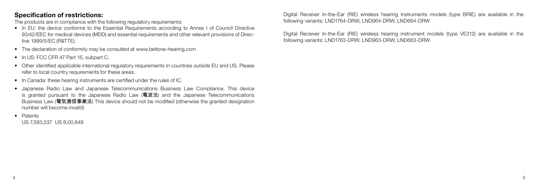#### Specification of restrictions:

The products are in compliance with the following regulatory requirements:

- In EU: the device conforms to the Essential Requirements according to Annex I of Council Directive 93/42/EEC for medical devices (MDD) and essential requirements and other relevant provisions of Directive 1999/5/EC (R&TTE).
- The declaration of conformity may be consulted at www.beltone-hearing.com
- In US: FCC CFR 47 Part 15, subpart C.
- Other identified applicable international regulatory requirements in countries outside EU and US. Please refer to local country requirements for these areas.
- In Canada: these hearing instruments are certified under the rules of IC.
- Japanese Radio Law and Japanese Telecommunications Business Law Compliance. This device is granted pursuant to the Japanese Radio Law (電波法) and the Japanese Telecommunications Business Law (電気通信事業法) This device should not be modified (otherwise the granted designation number will become invalid)
- Patents

US 7,593,537 US 8,00,849

Digital Receiver In-the-Ear (RIE) wireless hearing Instruments models (type BRIE) are available in the following variants: LND1764-DRW, LND964-DRW, LND664-DRW

Digital Receiver In-the-Ear (RIE) wireless hearing instrument models (type VE312) are available in the following variants: LND1763-DRW, LND963-DRW, LND663-DRW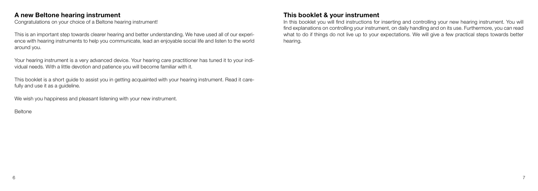#### A new Beltone hearing instrument

Congratulations on your choice of a Beltone hearing instrument!

This is an important step towards clearer hearing and better understanding. We have used all of our experience with hearing instruments to help you communicate, lead an enjoyable social life and listen to the world around you.

Your hearing instrument is a very advanced device. Your hearing care practitioner has tuned it to your individual needs. With a little devotion and patience you will become familiar with it.

This booklet is a short quide to assist you in getting acquainted with your hearing instrument. Read it carefully and use it as a guideline.

We wish you happiness and pleasant listening with your new instrument.

Beltone

#### This booklet & your instrument

In this booklet you will find instructions for inserting and controlling your new hearing instrument. You will find explanations on controlling your instrument, on daily handling and on its use. Furthermore, you can read what to do if things do not live up to your expectations. We will give a few practical steps towards better hearing.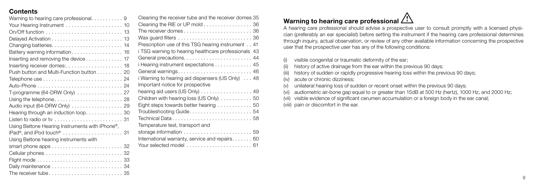#### **Contents**

| Inserting and removing the device 17                                          |  |
|-------------------------------------------------------------------------------|--|
|                                                                               |  |
| Push button and Multi-Function button 20                                      |  |
|                                                                               |  |
|                                                                               |  |
| T-programme (64-DRW Only)  27                                                 |  |
| Using the telephone 28                                                        |  |
| Audio input (64-DRW Only) 29                                                  |  |
| Hearing through an induction loop. 30                                         |  |
|                                                                               |  |
| Using Beltone Hearing Instruments with iPhone <sup>®</sup> ,                  |  |
| iPad <sup>®</sup> , and iPod touch <sup>®</sup> 31                            |  |
| Using Beltone hearing instruments with                                        |  |
| smart phone apps $\ldots \ldots \ldots \ldots \ldots \ldots \ldots \ldots 32$ |  |
|                                                                               |  |
|                                                                               |  |
|                                                                               |  |
|                                                                               |  |

| Cleaning the receiver tube and the receiver domes 35 |  |
|------------------------------------------------------|--|
| Cleaning the RIE or UP mold 36                       |  |
|                                                      |  |
|                                                      |  |
| Prescription use of this TSG hearing instrument 41   |  |
| i TSG warning to hearing healthcare professionals 43 |  |
|                                                      |  |
| i Hearing instrument expectations 45                 |  |
|                                                      |  |
| i Warning to hearing aid dispensers (US Only) 48     |  |
| Important notice for prospective                     |  |
|                                                      |  |
| Children with hearing loss (US Only) 50              |  |
| Eight steps towards better hearing 50                |  |
|                                                      |  |
|                                                      |  |
| Temperature test, transport and                      |  |
|                                                      |  |
| International warranty, service and repairs 60       |  |
|                                                      |  |
|                                                      |  |

### Warning to hearing care professional  $\langle \cdot \rangle$

A hearing care professional should advise a prospective user to consult promptly with a licensed physi i cian (preferably an ear specialist) before setting the instrument if the hearing care professional determines through inquiry, actual observation, or review of any other available information concerning the prospective user that the prospective user has any of the following conditions:

- (i) visible congenital or traumatic deformity of the ear;
- (ii) history of active drainage from the ear within the previous 90 days;
- (iii) history of sudden or rapidly progressive hearing loss within the previous 90 days;
- (iv) acute or chronic dizziness;
- (v) unilateral hearing loss of sudden or recent onset within the previous 90 days;
- (vi) audiometric air-bone gap equal to or greater than 15dB at 500 Hz (hertz), 1000 Hz, and 2000 Hz;
- (vii) visible evidence of significant cerumen accumulation or a foreign body in the ear canal;

(viii) pain or discomfort in the ear.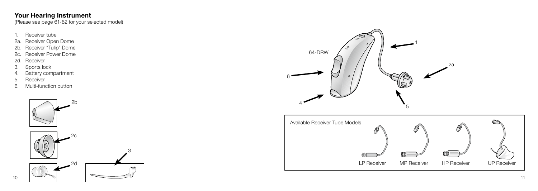#### Your Hearing Instrument

(Please see page 61-62 for your selected model)

- 1. Receiver tube
- 2a. Receiver Open Dome
- 2b. Receiver "Tulip" Dome
- 2c. Receiver Power Dome
- 2d. Receiver
- 3. Sports lock
- 4. Battery compartment
- 5. Receiver
- 6. Multi-function button





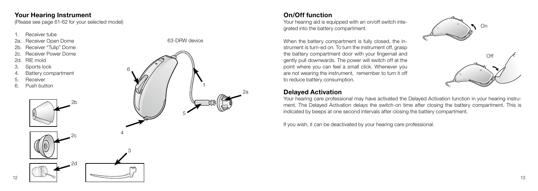#### Your Hearing Instrument

(Please see page 61-62 for your selected model)

- Receiver tube
- 2a. Receiver Open Dome
- 2b. Receiver "Tulip" Dome
- 2c. Receiver Power Dome
- 2d. RIE mold
- 3. Sports lock
- Battery compartment
- 
- 6. Push button





5

1

### On/Off function

Your hearing aid is equipped with an on/off switch integrated into the battery compartment.

When the battery compartment is fully closed, the instrument is turn-ed on. To turn the instrument off, grasp the battery compartment door with your fingernail and gently pull downwards. The power will switch off at the point where you can feel a small click. Whenever you are not wearing the instrument, remember to turn it off to reduce battery consumption.

#### Delayed Activation

2a

Your hearing care professional may have activated the Delayed Activation function in your hearing instrument. The Delayed Activation delays the switch-on time after closing the battery compartment. This is indicated by beeps at one second intervals after closing the battery compartment.

If you wish, it can be deactivated by your hearing care professional.



On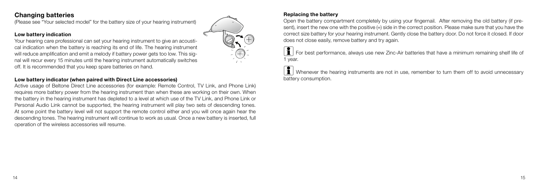#### Changing batteries

(Please see "Your selected model" for the battery size of your hearing instrument)

#### Low battery indication

Your hearing care professional can set your hearing instrument to give an acoustical indication when the battery is reaching its end of life. The hearing instrument will reduce amplification and emit a melody if battery power gets too low. This signal will recur every 15 minutes until the hearing instrument automatically switches off. It is recommended that you keep spare batteries on hand.

#### Low battery indicator (when paired with Direct Line accessories)

Active usage of Beltone Direct Line accessories (for example: Remote Control, TV Link, and Phone Link) requires more battery power from the hearing instrument than when these are working on their own. When the battery in the hearing instrument has depleted to a level at which use of the TV Link, and Phone Link or Personal Audio Link cannot be supported, the hearing instrument will play two sets of descending tones. At some point the battery level will not support the remote control either and you will once again hear the descending tones. The hearing instrument will continue to work as usual. Once a new battery is inserted, full operation of the wireless accessories will resume.



#### Replacing the battery

Open the battery compartment completely by using your fingernail. After removing the old battery (if present), insert the new one with the positive (+) side in the correct position. Please make sure that you have the correct size battery for your hearing instrument. Gently close the battery door. Do not force it closed. If door does not close easily, remove battery and try again.

**i** For best performance, always use new Zinc-Air batteries that have a minimum remaining shelf life of 1 year.

Whenever the hearing instruments are not in use, remember to turn them off to avoid unnecessary battery consumption.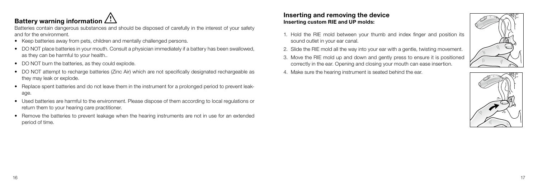# Battery warning information  $\bigwedge$

Batteries contain dangerous substances and should be disposed of carefully in the interest of your safety and for the environment.

- Keep batteries away from pets, children and mentally challenged persons.
- DO NOT place batteries in your mouth. Consult a physician immediately if a battery has been swallowed. as they can be harmful to your health..
- DO NOT burn the batteries, as they could explode.
- DO NOT attempt to recharge batteries (Zinc Air) which are not specifically designated rechargeable as they may leak or explode.
- Replace spent batteries and do not leave them in the instrument for a prolonged period to prevent leakage.
- Used batteries are harmful to the environment. Please dispose of them according to local regulations or return them to your hearing care practitioner.
- Remove the batteries to prevent leakage when the hearing instruments are not in use for an extended period of time.

#### Inserting and removing the device Inserting custom RIE and UP molds:

- 1. Hold the RIE mold between your thumb and index finger and position its sound outlet in your ear canal.
- 2. Slide the RIE mold all the way into your ear with a gentle, twisting movement.
- 3. Move the RIE mold up and down and gently press to ensure it is positioned correctly in the ear. Opening and closing your mouth can ease insertion.
- 4. Make sure the hearing instrument is seated behind the ear.

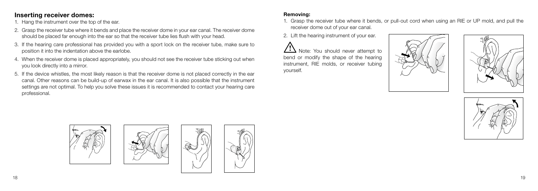#### Inserting receiver domes:

1. Hang the instrument over the top of the ear.

- 2. Grasp the receiver tube where it bends and place the receiver dome in your ear canal. The receiver dome should be placed far enough into the ear so that the receiver tube lies flush with your head.
- 3. If the hearing care professional has provided you with a sport lock on the receiver tube, make sure to position it into the indentation above the earlobe.
- 4. When the receiver dome is placed appropriately, you should not see the receiver tube sticking out when you look directly into a mirror.
- 5. If the device whistles, the most likely reason is that the receiver dome is not placed correctly in the ear canal. Other reasons can be build-up of earwax in the ear canal. It is also possible that the instrument settings are not optimal. To help you solve these issues it is recommended to contact your hearing care professional.

#### Removing:

- 1. Grasp the receiver tube where it bends, or pull-out cord when using an RIE or UP mold, and pull the receiver dome out of your ear canal.
- 2. Lift the hearing instrument of your ear.

Note: You should never attempt to bend or modify the shape of the hearing instrument, RIE molds, or receiver tubing yourself.











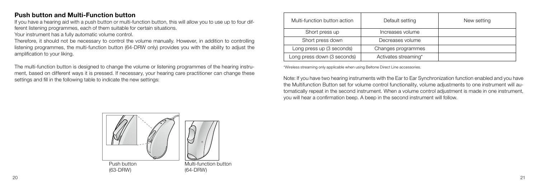#### Push button and Multi-Function button

If you have a hearing aid with a push button or multi-function button, this will allow you to use up to four different listening programmes, each of them suitable for certain situations.

Your instrument has a fully automatic volume control.

Therefore, it should not be necessary to control the volume manually. However, in addition to controlling listening programmes, the multi-function button (64-DRW only) provides you with the ability to adjust the amplification to your liking.

The multi-function button is designed to change the volume or listening programmes of the hearing instrument, based on different ways it is pressed. If necessary, your hearing care practitioner can change these settings and fill in the following table to indicate the new settings:

| Multi-function button action | Default setting      | New setting |
|------------------------------|----------------------|-------------|
| Short press up               | Increases volume     |             |
| Short press down             | Decreases volume     |             |
| Long press up (3 seconds)    | Changes programmes   |             |
| Long press down (3 seconds)  | Activates streaming* |             |

\*Wireless streaming only applicable when using Beltone Direct Line accessories.

Note: If you have two hearing instruments with the Ear to Ear Synchronization function enabled and you have the Multifunction Button set for volume control functionality, volume adjustments to one instrument will automatically repeat in the second instrument. When a volume control adjustment is made in one instrument, you will hear a confirmation beep. A beep in the second instrument will follow.

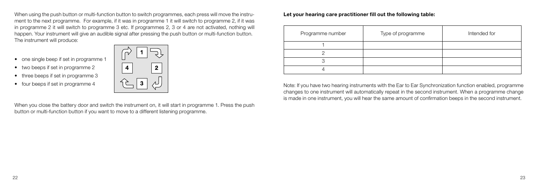When using the push button or multi-function button to switch programmes, each press will move the instrument to the next programme. For example, if it was in programme 1 it will switch to programme 2, if it was in programme 2 it will switch to programme 3 etc. If programmes 2, 3 or 4 are not activated, nothing will happen. Your instrument will give an audible signal after pressing the push button or multi-function button. The instrument will produce:

- one single beep if set in programme 1
- two beeps if set in programme 2
- three beeps if set in programme 3
- four beeps if set in programme 4



When you close the battery door and switch the instrument on, it will start in programme 1. Press the push button or multi-function button if you want to move to a different listening programme.

Let your hearing care practitioner fill out the following table:

| Programme number | Type of programme | Intended for |
|------------------|-------------------|--------------|
|                  |                   |              |
|                  |                   |              |
|                  |                   |              |
|                  |                   |              |

Note: If you have two hearing instruments with the Ear to Ear Synchronization function enabled, programme changes to one instrument will automatically repeat in the second instrument. When a programme change is made in one instrument, you will hear the same amount of confirmation beeps in the second instrument.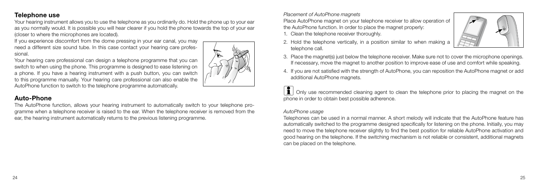#### Telephone use

Your hearing instrument allows you to use the telephone as you ordinarily do. Hold the phone up to your ear as you normally would. It is possible you will hear clearer if you hold the phone towards the top of your ear (closer to where the microphones are located).

If you experience discomfort from the dome pressing in your ear canal, you may need a different size sound tube. In this case contact your hearing care professional.

Your hearing care professional can design a telephone programme that you can switch to when using the phone. This programme is designed to ease listening on a phone. If you have a hearing instrument with a push button, you can switch to this programme manually. Your hearing care professional can also enable the AutoPhone function to switch to the telephone programme automatically.

### Auto-Phone

The AutoPhone function, allows your hearing instrument to automatically switch to your telephone programme when a telephone receiver is raised to the ear. When the telephone receiver is removed from the ear, the hearing instrument automatically returns to the previous listening programme.



#### Placement of AutoPhone magnets

Place AutoPhone magnet on your telephone receiver to allow operation of the AutoPhone function. In order to place the magnet properly:

1. Clean the telephone receiver thoroughly.



- 2. Hold the telephone vertically, in a position similar to when making a telephone call.
- 3. Place the magnet(s) just below the telephone receiver. Make sure not to cover the microphone openings. If necessary, move the magnet to another position to improve ease of use and comfort while speaking.
- 4. If you are not satisfied with the strength of AutoPhone, you can reposition the AutoPhone magnet or add additional AutoPhone magnets.

**i** Only use recommended cleaning agent to clean the telephone prior to placing the magnet on the phone in order to obtain best possible adherence.

#### AutoPhone usage

Telephones can be used in a normal manner. A short melody will indicate that the AutoPhone feature has automatically switched to the programme designed specifically for listening on the phone. Initially, you may need to move the telephone receiver slightly to find the best position for reliable AutoPhone activation and good hearing on the telephone. If the switching mechanism is not reliable or consistent, additional magnets can be placed on the telephone.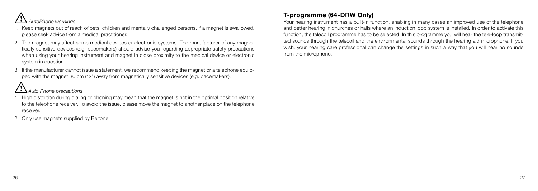## AutoPhone warnings

- 1. Keep magnets out of reach of pets, children and mentally challenged persons. If a magnet is swallowed, please seek advice from a medical practitioner.
- 2. The magnet may affect some medical devices or electronic systems. The manufacturer of any magnetically sensitive devices (e.g. pacemakers) should advise you regarding appropriate safety precautions when using your hearing instrument and magnet in close proximity to the medical device or electronic system in question.
- 3. If the manufacturer cannot issue a statement, we recommend keeping the magnet or a telephone equipped with the magnet 30 cm (12") away from magnetically sensitive devices (e.g. pacemakers).

## Auto Phone precautions

- 1. High distortion during dialing or phoning may mean that the magnet is not in the optimal position relative to the telephone receiver. To avoid the issue, please move the magnet to another place on the telephone receiver.
- 2. Only use magnets supplied by Beltone.

### T-programme (64-DRW Only)

Your hearing instrument has a built-in function, enabling in many cases an improved use of the telephone and better hearing in churches or halls where an induction loop system is installed. In order to activate this function, the telecoil programme has to be selected. In this programme you will hear the tele-loop transmitted sounds through the telecoil and the environmental sounds through the hearing aid microphone. If you wish, your hearing care professional can change the settings in such a way that you will hear no sounds from the microphone.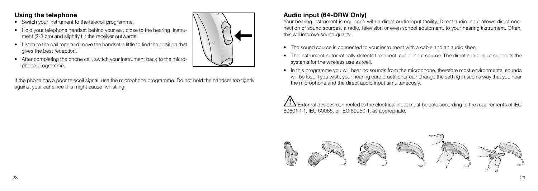#### Using the telephone

- Switch your instrument to the telecoil programme.
- Hold your telephone handset behind your ear, close to the hearing instrument (2-3 cm) and slightly tilt the receiver outwards.
- Listen to the dail tone and move the handset a little to find the position that gives the best reception.
- After completing the phone call, switch your instrument back to the microphone programme.

If the phone has a poor telecoil signal, use the microphone programme. Do not hold the handset too tightly against your ear since this might cause 'whistling.'



### Audio input (64-DRW Only)

Your hearing instrument is equipped with a direct audio input facility. Direct audio input allows direct connection of sound sources, a radio, television or even school equipment, to your hearing instrument. Often, this will improve sound quality.

- The sound source is connected to your instrument with a cable and an audio shoe.
- The instrument automatically detects the direct audio input source. The direct audio input supports the systems for the wireless use as well.
- In this programme you will hear no sounds from the microphone, therefore most environmental sounds will be lost. If you wish, your hearing care practitioner can change the setting in such a way that you hear the microphone and the direct audio input simultaneously.

External devices connected to the electrical input must be safe according to the requirements of IEC 60601-1-1, IEC 60065, or IEC 60950-1, as appropriate.

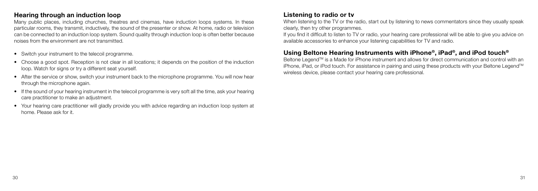#### Hearing through an induction loop

Many public places, including churches, theatres and cinemas, have induction loops systems. In these particular rooms, they transmit, inductively, the sound of the presenter or show. At home, radio or television can be connected to an induction loop system. Sound quality through induction loop is often better because noises from the environment are not transmitted.

- Switch your instrument to the telecoil programme.
- Choose a good spot. Reception is not clear in all locations; it depends on the position of the induction loop. Watch for signs or try a different seat yourself.
- After the service or show, switch your instrument back to the microphone programme. You will now hear through the microphone again.
- If the sound of your hearing instrument in the telecoil programme is very soft all the time, ask your hearing care practitioner to make an adjustment.
- Your hearing care practitioner will gladly provide you with advice regarding an induction loop system at home. Please ask for it.

#### Listening to radio or tv

When listening to the TV or the radio, start out by listening to news commentators since they usually speak clearly, then try other programmes.

If you find it difficult to listen to TV or radio, your hearing care professional will be able to give you advice on available accessories to enhance your listening capabilities for TV and radio.

#### Using Beltone Hearing Instruments with iPhone®, iPad®, and iPod touch®

Beltone Legend™ is a Made for iPhone instrument and allows for direct communication and control with an iPhone, iPad, or iPod touch. For assistance in pairing and using these products with your Beltone Legend™ wireless device, please contact your hearing care professional.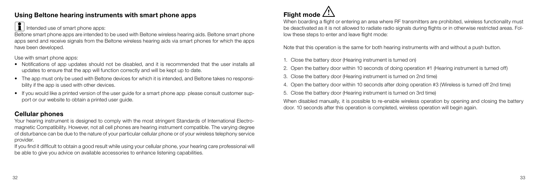#### Using Beltone hearing instruments with smart phone apps

## $\boxed{\color{red}\bullet}$  Intended use of smart phone apps:

Beltone smart phone apps are intended to be used with Beltone wireless hearing aids. Beltone smart phone apps send and receive signals from the Beltone wireless hearing aids via smart phones for which the apps have been developed.

Use with smart phone apps:

- Notifications of app updates should not be disabled, and it is recommended that the user installs all updates to ensure that the app will function correctly and will be kept up to date.
- The app must only be used with Beltone devices for which it is intended, and Beltone takes no responsibility if the app is used with other devices.
- If you would like a printed version of the user guide for a smart phone app please consult customer support or our website to obtain a printed user guide.

### Cellular phones

Your hearing instrument is designed to comply with the most stringent Standards of International Electromagnetic Compatibility. However, not all cell phones are hearing instrument compatible. The varying degree of disturbance can be due to the nature of your particular cellular phone or of your wireless telephony service provider.

If you find it difficult to obtain a good result while using your cellular phone, your hearing care professional will be able to give you advice on available accessories to enhance listening capabilities.



When boarding a flight or entering an area where RF transmitters are prohibited, wireless functionality must be deactivated as it is not allowed to radiate radio signals during flights or in otherwise restricted areas. Follow these steps to enter and leave flight mode:

Note that this operation is the same for both hearing instruments with and without a push button.

- 1. Close the battery door (Hearing instrument is turned on)
- 2. Open the battery door within 10 seconds of doing operation #1 (Hearing instrument is turned off)
- 3. Close the battery door (Hearing instrument is turned on 2nd time)
- 4. Open the battery door within 10 seconds after doing operation #3 (Wireless is turned off 2nd time)
- 5. Close the battery door (Hearing instrument is turned on 3rd time)

When disabled manually, it is possible to re-enable wireless operation by opening and closing the battery door. 10 seconds after this operation is completed, wireless operation will begin again.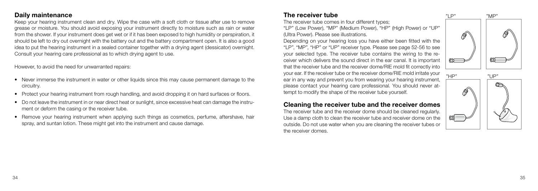#### Daily maintenance

Keep your hearing instrument clean and dry. Wipe the case with a soft cloth or tissue after use to remove grease or moisture. You should avoid exposing your instrument directly to moisture such as rain or water from the shower. If your instrument does get wet or if it has been exposed to high humidity or perspiration, it should be left to dry out overnight with the battery out and the battery compartment open. It is also a good idea to put the hearing instrument in a sealed container together with a drying agent (dessicator) overnight. Consult your hearing care professional as to which drying agent to use.

However, to avoid the need for unwarranted repairs:

- Never immerse the instrument in water or other liquids since this may cause permanent damage to the circuitry.
- Protect your hearing instrument from rough handling, and avoid dropping it on hard surfaces or floors.
- Do not leave the instrument in or near direct heat or sunlight, since excessive heat can damage the instrument or deform the casing or the receiver tube.
- Remove your hearing instrument when applying such things as cosmetics, perfume, aftershave, hair spray, and suntan lotion. These might get into the instrument and cause damage.

#### The receiver tube

The receiver tube comes in four different types;

"LP" (Low Power), "MP" (Medium Power), "HP" (High Power) or "UP" (Ultra Power). Please see illustrations.

Depending on your hearing loss you have either been fitted with the "LP", "MP", "HP" or "UP" receiver type. Please see page 52-56 to see your selected type. The receiver tube contains the wiring to the receiver which delivers the sound direct in the ear canal. It is important that the receiver tube and the receiver dome/RIE mold fit correctly into your ear. If the receiver tube or the receiver dome/RIE mold irritate your ear in any way and prevent you from wearing your hearing instrument, please contact your hearing care professional. You should never attempt to modify the shape of the receiver tube yourself.

#### Cleaning the receiver tube and the receiver domes

The receiver tube and the receiver dome should be cleaned regularly. Use a damp cloth to clean the receiver tube and receiver dome on the outside. Do not use water when you are cleaning the receiver tubes or the receiver domes.



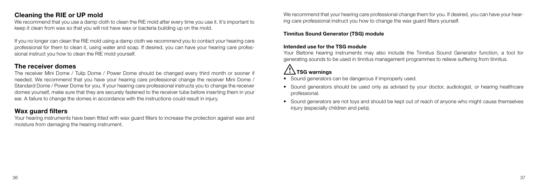#### Cleaning the RIE or UP mold

We recommend that you use a damp cloth to clean the RIE mold after every time you use it. It's important to keep it clean from wax so that you will not have wax or bacteria building up on the mold.

If you no longer can clean the RIE mold using a damp cloth we recommend you to contact your hearing care professional for them to clean it, using water and soap. If desired, you can have your hearing care professional instruct you how to clean the RIE mold yourself.

#### The receiver domes

The receiver Mini Dome / Tulip Dome / Power Dome should be changed every third month or sooner if needed. We recommend that you have your hearing care professional change the receiver Mini Dome / Standard Dome / Power Dome for you. If your hearing care professional instructs you to change the receiver domes yourself, make sure that they are securely fastened to the receiver tube before inserting them in your ear. A failure to change the domes in accordance with the instructions could result in injury.

#### Wax guard filters

Your hearing instruments have been fitted with wax quard filters to increase the protection against wax and moisture from damaging the hearing instrument.

We recommend that your hearing care professional change them for you. If desired, you can have your hearing care professional instruct you how to change the wax guard filters yourself.

#### Tinnitus Sound Generator (TSG) module

#### Intended use for the TSG module

Your Beltone hearing instruments may also include the Tinnitus Sound Generator function, a tool for generating sounds to be used in tinnitus management programmes to relieve suffering from tinnitus.

### $\frac{1}{1}$  TSG warnings

- Sound generators can be dangerous if improperly used.
- Sound generators should be used only as advised by your doctor, audiologist, or hearing healthcare professional.
- Sound generators are not toys and should be kept out of reach of anyone who might cause themselves injury (especially children and pets).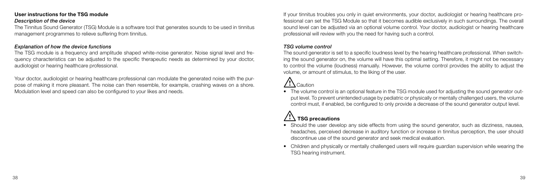#### User instructions for the TSG module Description of the device

The Tinnitus Sound Generator (TSG) Module is a software tool that generates sounds to be used in tinnitus management programmes to relieve suffering from tinnitus.

#### Explanation of how the device functions

The TSG module is a frequency and amplitude shaped white-noise generator. Noise signal level and frequency characteristics can be adjusted to the specific therapeutic needs as determined by your doctor, audiologist or hearing healthcare professional.

Your doctor, audiologist or hearing healthcare professional can modulate the generated noise with the purpose of making it more pleasant. The noise can then resemble, for example, crashing waves on a shore. Modulation level and speed can also be configured to your likes and needs.

If your tinnitus troubles you only in quiet environments, your doctor, audiologist or hearing healthcare professional can set the TSG Module so that it becomes audible exclusively in such surroundings. The overall sound level can be adjusted via an optional volume control. Your doctor, audiologist or hearing healthcare professional will review with you the need for having such a control.

#### TSG volume control

The sound generator is set to a specific loudness level by the hearing healthcare professional. When switching the sound generator on, the volume will have this optimal setting. Therefore, it might not be necessary to control the volume (loudness) manually. However, the volume control provides the ability to adjust the volume, or amount of stimulus, to the liking of the user.

## $\bigwedge$  Caution

• The volume control is an optional feature in the TSG module used for adjusting the sound generator output level. To prevent unintended usage by pediatric or physically or mentally challenged users, the volume control must, if enabled, be configured to only provide a decrease of the sound generator output level.

## $\prime$   $\cdot$   $\setminus$  TSG precautions

- Should the user develop any side effects from using the sound generator, such as dizziness, nausea, headaches, perceived decrease in auditory function or increase in tinnitus perception, the user should discontinue use of the sound generator and seek medical evaluation.
- Children and physically or mentally challenged users will require guardian supervision while wearing the TSG hearing instrument.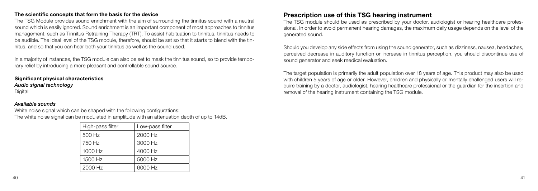#### The scientific concepts that form the basis for the device

The TSG Module provides sound enrichment with the aim of surrounding the tinnitus sound with a neutral sound which is easily ignored. Sound enrichment is an important component of most approaches to tinnitus management, such as Tinnitus Retraining Therapy (TRT). To assist habituation to tinnitus, tinnitus needs to be audible. The ideal level of the TSG module, therefore, should be set so that it starts to blend with the tinnitus, and so that you can hear both your tinnitus as well as the sound used.

In a majority of instances, the TSG module can also be set to mask the tinnitus sound, so to provide temporary relief by introducing a more pleasant and controllable sound source.

Significant physical characteristics Audio signal technology Digital

#### Available sounds

White noise signal which can be shaped with the following configurations: The white noise signal can be modulated in amplitude with an attenuation depth of up to 14dB.

| High-pass filter | Low-pass filter |
|------------------|-----------------|
| 500 Hz           | 2000 Hz         |
| 750 Hz           | 3000 Hz         |
| 1000 Hz          | 4000 Hz         |
| 1500 Hz          | 5000 Hz         |
| $2000$ Hz        | 6000 Hz         |

#### Prescription use of this TSG hearing instrument

The TSG module should be used as prescribed by your doctor, audiologist or hearing healthcare professional. In order to avoid permanent hearing damages, the maximum daily usage depends on the level of the generated sound.

Should you develop any side effects from using the sound generator, such as dizziness, nausea, headaches, perceived decrease in auditory function or increase in tinnitus perception, you should discontinue use of sound generator and seek medical evaluation.

The target population is primarily the adult population over 18 years of age. This product may also be used with children 5 years of age or older. However, children and physically or mentally challenged users will require training by a doctor, audiologist, hearing healthcare professional or the guardian for the insertion and removal of the hearing instrument containing the TSG module.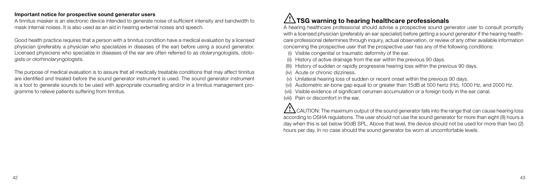#### Important notice for prospective sound generator users

A tinnitus masker is an electronic device intended to generate noise of sufficient intensity and bandwidth to mask internal noises. It is also used as an aid in hearing external noises and speech.

Good health practice requires that a person with a tinnitus condition have a medical evaluation by a licensed physician (preferably a physician who specializes in diseases of the ear) before using a sound generator. Licensed physicians who specialize in diseases of the ear are often referred to as otolaryngologists, otologists or otorhinolaryngologists.

The purpose of medical evaluation is to assure that all medically treatable conditions that may affect tinnitus are identified and treated before the sound generator instrument is used. The sound generator instrument is a tool to generate sounds to be used with appropriate counselling and/or in a tinnitus management programme to relieve patients suffering from tinnitus.

### $\sqrt{!}$  TSG warning to hearing healthcare professionals

A hearing healthcare professional should advise a prospective sound generator user to consult promptly with a licensed physician (preferably an ear specialist) before getting a sound generator if the hearing healthcare professional determines through inquiry, actual observation, or review of any other available information concerning the prospective user that the prospective user has any of the following conditions:

(i) Visible congenital or traumatic deformity of the ear.

(ii) History of active drainage from the ear within the previous 90 days.

History of sudden or rapidly progressive hearing loss within the previous 90 days.

(iv) Acute or chronic dizziness.

(v) Unilateral hearing loss of sudden or recent onset within the previous 90 days.

(vi) Audiometric air-bone gap equal to or greater than 15dB at 500 hertz (Hz), 1000 Hz, and 2000 Hz.

(vii) Visible evidence of significant cerumen accumulation or a foreign body in the ear canal.

(viii) Pain or discomfort in the ear.

 $\angle'$  CAUTION: The maximum output of the sound generator falls into the range that can cause hearing loss according to OSHA regulations. The user should not use the sound generator for more than eight (8) hours a day when this is set below 90dB SPL. Above that level, the device should not be used for more than two (2) hours per day. In no case should the sound generator be worn at uncomfortable levels.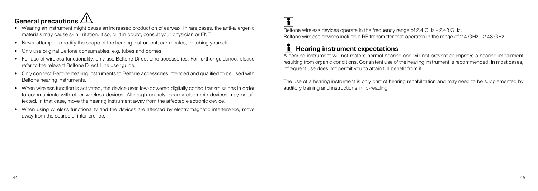# General precautions  $\bigwedge$

- Wearing an instrument might cause an increased production of earwax. In rare cases, the anti-allergenic materials may cause skin irritation. If so, or if in doubt, consult your physician or ENT.
- Never attempt to modify the shape of the hearing instrument, ear-moulds, or tubing yourself.
- Only use original Beltone consumables, e.g. tubes and domes.
- For use of wireless functionality, only use Beltone Direct Line accessories. For further guidance, please refer to the relevant Beltone Direct Line user guide.
- Only connect Beltone hearing instruments to Beltone accessories intended and qualified to be used with Beltone hearing instruments.
- When wireless function is activated, the device uses low-powered digitally coded transmissions in order to communicate with other wireless devices. Although unlikely, nearby electronic devices may be affected. In that case, move the hearing instrument away from the affected electronic device.
- When using wireless functionality and the devices are affected by electromagnetic interference, move away from the source of interference.

## i

Beltone wireless devices operate in the frequency range of 2.4 GHz - 2.48 GHz. Beltone wireless devices include a RF transmitter that operates in the range of 2.4 GHz - 2.48 GHz.

## $\boxed{\phantom{a}}$  Hearing instrument expectations

A hearing instrument will not restore normal hearing and will not prevent or improve a hearing impairment resulting from organic conditions. Consistent use of the hearing instrument is recommended. In most cases, infrequent use does not permit you to attain full benefit from it.

The use of a hearing instrument is only part of hearing rehabilitation and may need to be supplemented by auditory training and instructions in lip-reading.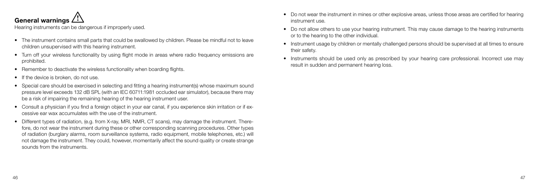# General warnings  $\bigwedge$

Hearing instruments can be dangerous if improperly used.

- The instrument contains small parts that could be swallowed by children. Please be mindful not to leave children unsupervised with this hearing instrument.
- Turn off your wireless functionality by using flight mode in areas where radio frequency emissions are prohibited.
- Remember to deactivate the wireless functionality when boarding flights.
- If the device is broken, do not use.
- Special care should be exercised in selecting and fitting a hearing instrument(s) whose maximum sound pressure level exceeds 132 dB SPL (with an IEC 60711:1981 occluded ear simulator), because there may be a risk of impairing the remaining hearing of the hearing instrument user.
- Consult a physician if you find a foreign object in your ear canal, if you experience skin irritation or if excessive ear wax accumulates with the use of the instrument.
- Different types of radiation, (e.g. from X-ray, MRI, NMR, CT scans), may damage the instrument. Therefore, do not wear the instrument during these or other corresponding scanning procedures. Other types of radiation (burglary alarms, room surveillance systems, radio equipment, mobile telephones, etc.) will not damage the instrument. They could, however, momentarily affect the sound quality or create strange sounds from the instruments.
- Do not wear the instrument in mines or other explosive areas, unless those areas are certified for hearing instrument use.
- Do not allow others to use your hearing instrument. This may cause damage to the hearing instruments or to the hearing to the other individual.
- Instrument usage by children or mentally challenged persons should be supervised at all times to ensure their safety.
- Instruments should be used only as prescribed by your hearing care professional. Incorrect use may result in sudden and permanent hearing loss.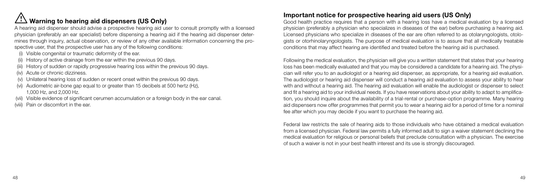## **Warning to hearing aid dispensers (US Only)**

A hearing aid dispenser should advise a prospective hearing aid user to consult promptly with a licensed physician (preferably an ear specialist) before dispensing a hearing aid if the hearing aid dispenser determines through inquiry, actual observation, or review of any other available information concerning the prospective user, that the prospective user has any of the following conditions:

- (i) Visible congenital or traumatic deformity of the ear.
- (ii) History of active drainage from the ear within the previous 90 days.
- History of sudden or rapidly progressive hearing loss within the previous 90 days.
- (iv) Acute or chronic dizziness.
- Unilateral hearing loss of sudden or recent onset within the previous 90 days.
- (vi) Audiometric air-bone gap equal to or greater than 15 decibels at 500 hertz (Hz), 1,000 Hz, and 2,000 Hz.
- (vii) Visible evidence of significant cerumen accumulation or a foreign body in the ear canal.
- (viii) Pain or discomfort in the ear.

#### Important notice for prospective hearing aid users (US Only)

Good health practice requires that a person with a hearing loss have a medical evaluation by a licensed physician (preferably a physician who specializes in diseases of the ear) before purchasing a hearing aid. Licensed physicians who specialize in diseases of the ear are often referred to as otolaryngologists, otologists or otorhinolaryngologists. The purpose of medical evaluation is to assure that all medically treatable conditions that may affect hearing are identified and treated before the hearing aid is purchased.

Following the medical evaluation, the physician will give you a written statement that states that your hearing loss has been medically evaluated and that you may be considered a candidate for a hearing aid. The physician will refer you to an audiologist or a hearing aid dispenser, as appropriate, for a hearing aid evaluation. The audiologist or hearing aid dispenser will conduct a hearing aid evaluation to assess your ability to hear with and without a hearing aid. The hearing aid evaluation will enable the audiologist or dispenser to select and fit a hearing aid to your individual needs. If you have reservations about your ability to adapt to amplification, you should inquire about the availability of a trial-rental or purchase-option programme. Many hearing aid dispensers now offer programmes that permit you to wear a hearing aid for a period of time for a nominal fee after which you may decide if you want to purchase the hearing aid.

Federal law restricts the sale of hearing aids to those individuals who have obtained a medical evaluation from a licensed physician. Federal law permits a fully informed adult to sign a waiver statement declining the medical evaluation for religious or personal beliefs that preclude consultation with a physician. The exercise of such a waiver is not in your best health interest and its use is strongly discouraged.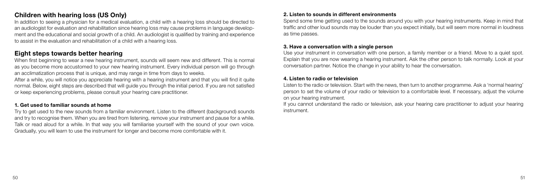#### Children with hearing loss (US Only)

In addition to seeing a physician for a medical evaluation, a child with a hearing loss should be directed to an audiologist for evaluation and rehabilitation since hearing loss may cause problems in language development and the educational and social growth of a child. An audiologist is qualified by training and experience to assist in the evaluation and rehabilitation of a child with a hearing loss.

#### Eight steps towards better hearing

When first beginning to wear a new hearing instrument, sounds will seem new and different. This is normal as you become more accustomed to your new hearing instrument. Every individual person will go through an acclimatization process that is unique, and may range in time from days to weeks.

After a while, you will notice you appreciate hearing with a hearing instrument and that you will find it quite normal. Below, eight steps are described that will guide you through the initial period. If you are not satisfied or keep experiencing problems, please consult your hearing care practitioner.

#### 1. Get used to familiar sounds at home

Try to get used to the new sounds from a familiar environment. Listen to the different (background) sounds and try to recognise them. When you are tired from listening, remove your instrument and pause for a while. Talk or read aloud for a while. In that way you will familiarise yourself with the sound of your own voice. Gradually, you will learn to use the instrument for longer and become more comfortable with it.

#### 2. Listen to sounds in different environments

Spend some time getting used to the sounds around you with your hearing instruments. Keep in mind that traffic and other loud sounds may be louder than you expect initially, but will seem more normal in loudness as time passes.

#### 3. Have a conversation with a single person

Use your instrument in conversation with one person, a family member or a friend. Move to a quiet spot. Explain that you are now wearing a hearing instrument. Ask the other person to talk normally. Look at your conversation partner. Notice the change in your ability to hear the conversation.

#### 4. Listen to radio or television

Listen to the radio or television. Start with the news, then turn to another programme. Ask a 'normal hearing' person to set the volume of your radio or television to a comfortable level. If necessary, adjust the volume on your hearing instrument.

If you cannot understand the radio or television, ask your hearing care practitioner to adjust your hearing instrument.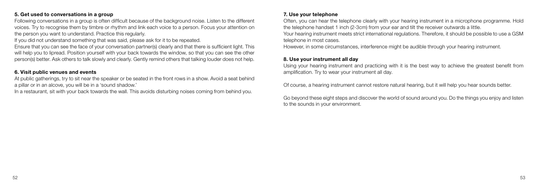#### 5. Get used to conversations in a group

Following conversations in a group is often difficult because of the background noise. Listen to the different voices. Try to recognise them by timbre or rhythm and link each voice to a person. Focus your attention on the person you want to understand. Practice this regularly.

If you did not understand something that was said, please ask for it to be repeated.

Ensure that you can see the face of your conversation partner(s) clearly and that there is sufficient light. This will help you to lipread. Position yourself with your back towards the window, so that you can see the other person(s) better. Ask others to talk slowly and clearly. Gently remind others that talking louder does not help.

#### 6. Visit public venues and events

At public gatherings, try to sit near the speaker or be seated in the front rows in a show. Avoid a seat behind a pillar or in an alcove, you will be in a 'sound shadow.'

In a restaurant, sit with your back towards the wall. This avoids disturbing noises coming from behind you.

#### 7. Use your telephone

Often, you can hear the telephone clearly with your hearing instrument in a microphone programme. Hold the telephone handset 1 inch (2-3cm) from your ear and tilt the receiver outwards a little. Your hearing instrument meets strict international regulations. Therefore, it should be possible to use a GSM telephone in most cases.

However, in some circumstances, interference might be audible through your hearing instrument.

#### 8. Use your instrument all day

Using your hearing instrument and practicing with it is the best way to achieve the greatest benefit from amplification. Try to wear your instrument all day.

Of course, a hearing instrument cannot restore natural hearing, but it will help you hear sounds better.

Go beyond these eight steps and discover the world of sound around you. Do the things you enjoy and listen to the sounds in your environment.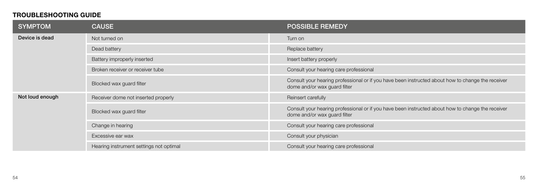#### TROUBLESHOOTING GUIDE

| <b>SYMPTOM</b>  | <b>CAUSE</b>                            | <b>POSSIBLE REMEDY</b>                                                                                                            |
|-----------------|-----------------------------------------|-----------------------------------------------------------------------------------------------------------------------------------|
| Device is dead  | Not turned on                           | Turn on                                                                                                                           |
|                 | Dead battery                            | Replace battery                                                                                                                   |
|                 | Battery improperly inserted             | Insert battery properly                                                                                                           |
|                 | Broken receiver or receiver tube        | Consult your hearing care professional                                                                                            |
|                 | Blocked wax guard filter                | Consult your hearing professional or if you have been instructed about how to change the receiver<br>dome and/or wax guard filter |
| Not loud enough | Receiver dome not inserted properly     | Reinsert carefully                                                                                                                |
|                 | Blocked wax guard filter                | Consult your hearing professional or if you have been instructed about how to change the receiver<br>dome and/or wax guard filter |
|                 | Change in hearing                       | Consult your hearing care professional                                                                                            |
|                 | Excessive ear wax                       | Consult your physician                                                                                                            |
|                 | Hearing instrument settings not optimal | Consult your hearing care professional                                                                                            |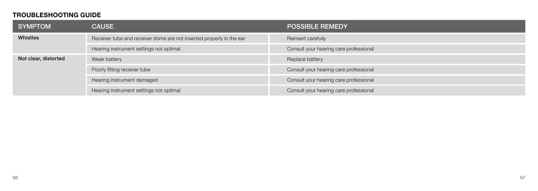#### TROUBLESHOOTING GUIDE

| <b>SYMPTOM</b>       | <b>CAUSE</b>                                                         | <b>POSSIBLE REMEDY</b>                 |
|----------------------|----------------------------------------------------------------------|----------------------------------------|
| Whistles             | Receiver tube and receiver dome are not inserted properly in the ear | Reinsert carefully                     |
|                      | Hearing instrument settings not optimal                              | Consult your hearing care professional |
| Not clear, distorted | Weak battery                                                         | Replace battery                        |
|                      | Poorly fitting receiver tube                                         | Consult your hearing care professional |
|                      | Hearing instrument damaged                                           | Consult your hearing care professional |
|                      | Hearing instrument settings not optimal                              | Consult your hearing care professional |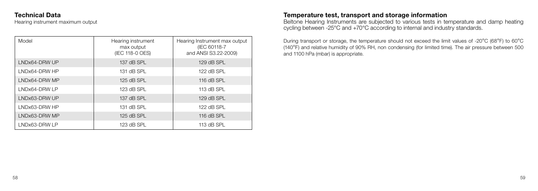#### Technical Data

Hearing instrument maximum output

| Model         | Hearing instrument<br>max output<br>(IEC 118-0 OES) | Hearing Instrument max output<br>(IEC 60118-7<br>and ANSI S3.22-2009) |
|---------------|-----------------------------------------------------|-----------------------------------------------------------------------|
| LNDx64-DRW UP | 137 $dB$ SPL                                        | 129 $dB$ SPL                                                          |
| LNDx64-DRW HP | 131 dB SPL                                          | 122 dB SPL                                                            |
| LNDx64-DRW MP | 125 dB SPL                                          | 116 dB SPL                                                            |
| LNDx64-DRW LP | 123 dB SPL                                          | 113 dB SPL                                                            |
| LNDx63-DRW UP | 137 $dB$ SPL                                        | 129 $dB$ SPL                                                          |
| LNDx63-DRW HP | 131 dB SPL                                          | 122 dB SPL                                                            |
| LNDx63-DRW MP | $125$ dB SPL                                        | 116 $dB$ SPL                                                          |
| LNDx63-DRW LP | 123 dB SPL                                          | 113 dB SPL                                                            |

#### Temperature test, transport and storage information

Beltone Hearing Instruments are subjected to various tests in temperature and damp heating cycling between -25°C and +70°C according to internal and industry standards.

During transport or storage, the temperature should not exceed the limit values of -20°C (68°F) to 60°C (140°F) and relative humidity of 90% RH, non condensing (for limited time). The air pressure between 500 and 1100 hPa (mbar) is appropriate.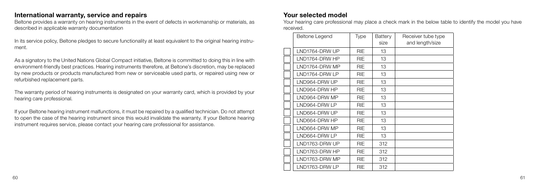#### International warranty, service and repairs

Beltone provides a warranty on hearing instruments in the event of defects in workmanship or materials, as described in applicable warranty documentation

In its service policy, Beltone pledges to secure functionality at least equivalent to the original hearing instrument.

As a signatory to the United Nations Global Compact initiative, Beltone is committed to doing this in line with environment-friendly best practices. Hearing instruments therefore, at Beltone's discretion, may be replaced by new products or products manufactured from new or serviceable used parts, or repaired using new or refurbished replacement parts.

The warranty period of hearing instruments is designated on your warranty card, which is provided by your hearing care professional.

If your Beltone hearing instrument malfunctions, it must be repaired by a qualified technician. Do not attempt to open the case of the hearing instrument since this would invalidate the warranty. If your Beltone hearing instrument requires service, please contact your hearing care professional for assistance.

#### Your selected model

Your hearing care professional may place a check mark in the below table to identify the model you have received.

| Beltone Legend | <b>Type</b> | Battery<br>size | Receiver tube type<br>and length/size |
|----------------|-------------|-----------------|---------------------------------------|
| LND1764-DRW UP | <b>RIE</b>  | 13              |                                       |
| LND1764-DRW HP | <b>RIE</b>  | 13              |                                       |
| LND1764-DRW MP | <b>RIE</b>  | 13              |                                       |
| LND1764-DRW LP | <b>RIE</b>  | 13              |                                       |
| LND964-DRW UP  | <b>RIE</b>  | 13              |                                       |
| LND964-DRW HP  | <b>RIE</b>  | 13              |                                       |
| LND964-DRW MP  | <b>RIE</b>  | 13              |                                       |
| LND964-DRW LP  | <b>RIE</b>  | 13              |                                       |
| LND664-DRW UP  | <b>RIE</b>  | 13              |                                       |
| LND664-DRW HP  | <b>RIE</b>  | 13              |                                       |
| LND664-DRW MP  | <b>RIE</b>  | 13              |                                       |
| LND664-DRW LP  | <b>RIE</b>  | 13              |                                       |
| LND1763-DRW UP | <b>RIE</b>  | 312             |                                       |
| LND1763-DRW HP | <b>RIE</b>  | 312             |                                       |
| LND1763-DRW MP | <b>RIE</b>  | 312             |                                       |
| LND1763-DRW LP | <b>RIE</b>  | 312             |                                       |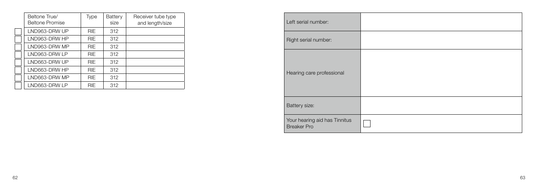| Beltone True/<br><b>Beltone Promise</b> | <b>Type</b> | Battery<br>size | Receiver tube type<br>and length/size |
|-----------------------------------------|-------------|-----------------|---------------------------------------|
| LND963-DRW UP                           | <b>RIE</b>  | 312             |                                       |
| LND963-DRW HP                           | <b>RIE</b>  | 312             |                                       |
| LND963-DRW MP                           | <b>RIE</b>  | 312             |                                       |
| LND963-DRW LP                           | <b>RIE</b>  | 312             |                                       |
| LND663-DRW UP                           | <b>RIE</b>  | 312             |                                       |
| LND663-DRW HP                           | <b>RIE</b>  | 312             |                                       |
| LND663-DRW MP                           | <b>RIE</b>  | 312             |                                       |
| LND663-DRW LP                           | <b>RIE</b>  | 312             |                                       |

| Left serial number:                                 |  |
|-----------------------------------------------------|--|
| Right serial number:                                |  |
| Hearing care professional                           |  |
| Battery size:                                       |  |
| Your hearing aid has Tinnitus<br><b>Breaker Pro</b> |  |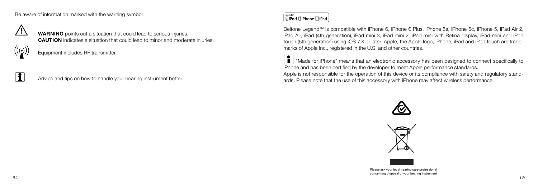Be aware of information marked with the warning symbol



**WARNING** points out a situation that could lead to serious injuries, CAUTION indicates a situation that could lead to minor and moderate injuries.

Equipment includes RF transmitter.



**i** Advice and tips on how to handle your hearing instrument better.

#### Made for  $\mathbb{R}$ iPod  $\mathbb{D}$ iPhone  $\Box$ iPad

Beltone Legend™ is compatible with iPhone 6, iPhone 6 Plus, iPhone 5s, iPhone 5c, iPhone 5, iPad Air 2, iPad Air, iPad (4th generation), iPad mini 3, iPad mini 2, iPad mini with Retina display, iPad mini and iPod touch (5th generation) using iOS 7.X or later. Apple, the Apple logo, iPhone, iPad and iPod touch are trademarks of Apple Inc., registered in the U.S. and other countries.

**i**  $\blacksquare$  "Made for iPhone" means that an electronic accessory has been designed to connect specifically to iPhone and has been certified by the developer to meet Apple performance standards. Apple is not responsible for the operation of this device or its compliance with safety and regulatory standards. Please note that the use of this accessory with iPhone may affect wireless performance.







Please ask your local hearing care professional concerning disposal of your hearing instrument